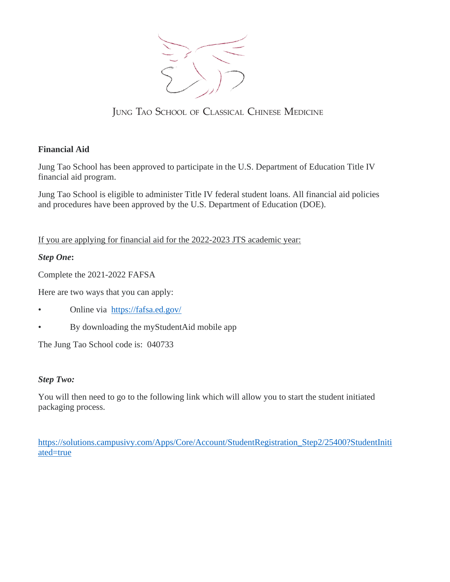

JUNG TAO SCHOOL OF CLASSICAL CHINESE MEDICINE

# **Financial Aid**

Jung Tao School has been approved to participate in the U.S. Department of Education Title IV financial aid program.

Jung Tao School is eligible to administer Title IV federal student loans. All financial aid policies and procedures have been approved by the U.S. Department of Education (DOE).

If you are applying for financial aid for the 2022-2023 JTS academic year:

## *Step One***:**

Complete the 2021-2022 FAFSA

Here are two ways that you can apply:

- Online via https://fafsa.ed.gov/
- By downloading the myStudentAid mobile app

The Jung Tao School code is: 040733

## *Step Two:*

You will then need to go to the following link which will allow you to start the student initiated packaging process.

https://solutions.campusivy.com/Apps/Core/Account/StudentRegistration\_Step2/25400?StudentIniti ated=true